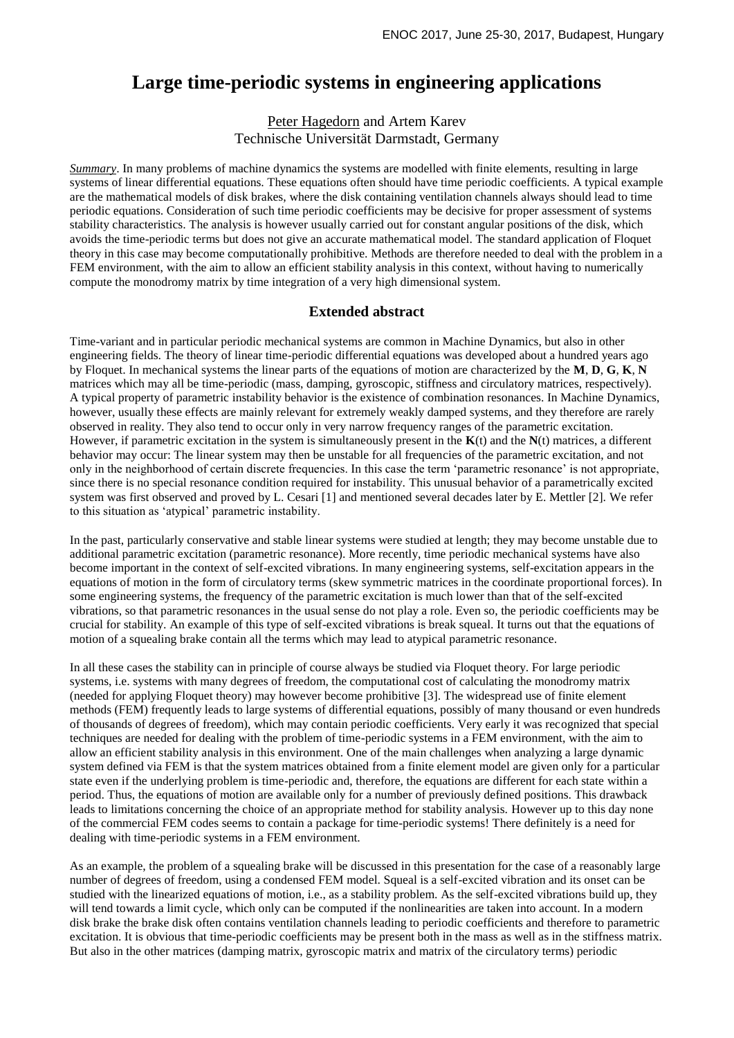## **Large time-periodic systems in engineering applications**

## Peter Hagedorn and Artem Karev Technische Universität Darmstadt, Germany

*Summary*. In many problems of machine dynamics the systems are modelled with finite elements, resulting in large systems of linear differential equations. These equations often should have time periodic coefficients. A typical example are the mathematical models of disk brakes, where the disk containing ventilation channels always should lead to time periodic equations. Consideration of such time periodic coefficients may be decisive for proper assessment of systems stability characteristics. The analysis is however usually carried out for constant angular positions of the disk, which avoids the time-periodic terms but does not give an accurate mathematical model. The standard application of Floquet theory in this case may become computationally prohibitive. Methods are therefore needed to deal with the problem in a FEM environment, with the aim to allow an efficient stability analysis in this context, without having to numerically compute the monodromy matrix by time integration of a very high dimensional system.

## **Extended abstract**

Time-variant and in particular periodic mechanical systems are common in Machine Dynamics, but also in other engineering fields. The theory of linear time-periodic differential equations was developed about a hundred years ago by Floquet. In mechanical systems the linear parts of the equations of motion are characterized by the **M**, **D**, **G**, **K**, **N** matrices which may all be time-periodic (mass, damping, gyroscopic, stiffness and circulatory matrices, respectively). A typical property of parametric instability behavior is the existence of combination resonances. In Machine Dynamics, however, usually these effects are mainly relevant for extremely weakly damped systems, and they therefore are rarely observed in reality. They also tend to occur only in very narrow frequency ranges of the parametric excitation. However, if parametric excitation in the system is simultaneously present in the **K**(t) and the **N**(t) matrices, a different behavior may occur: The linear system may then be unstable for all frequencies of the parametric excitation, and not only in the neighborhood of certain discrete frequencies. In this case the term 'parametric resonance' is not appropriate, since there is no special resonance condition required for instability. This unusual behavior of a parametrically excited system was first observed and proved by L. Cesari [1] and mentioned several decades later by E. Mettler [2]. We refer to this situation as 'atypical' parametric instability.

In the past, particularly conservative and stable linear systems were studied at length; they may become unstable due to additional parametric excitation (parametric resonance). More recently, time periodic mechanical systems have also become important in the context of self-excited vibrations. In many engineering systems, self-excitation appears in the equations of motion in the form of circulatory terms (skew symmetric matrices in the coordinate proportional forces). In some engineering systems, the frequency of the parametric excitation is much lower than that of the self-excited vibrations, so that parametric resonances in the usual sense do not play a role. Even so, the periodic coefficients may be crucial for stability. An example of this type of self-excited vibrations is break squeal. It turns out that the equations of motion of a squealing brake contain all the terms which may lead to atypical parametric resonance.

In all these cases the stability can in principle of course always be studied via Floquet theory. For large periodic systems, i.e. systems with many degrees of freedom, the computational cost of calculating the monodromy matrix (needed for applying Floquet theory) may however become prohibitive [3]. The widespread use of finite element methods (FEM) frequently leads to large systems of differential equations, possibly of many thousand or even hundreds of thousands of degrees of freedom), which may contain periodic coefficients. Very early it was recognized that special techniques are needed for dealing with the problem of time-periodic systems in a FEM environment, with the aim to allow an efficient stability analysis in this environment. One of the main challenges when analyzing a large dynamic system defined via FEM is that the system matrices obtained from a finite element model are given only for a particular state even if the underlying problem is time-periodic and, therefore, the equations are different for each state within a period. Thus, the equations of motion are available only for a number of previously defined positions. This drawback leads to limitations concerning the choice of an appropriate method for stability analysis. However up to this day none of the commercial FEM codes seems to contain a package for time-periodic systems! There definitely is a need for dealing with time-periodic systems in a FEM environment.

As an example, the problem of a squealing brake will be discussed in this presentation for the case of a reasonably large number of degrees of freedom, using a condensed FEM model. Squeal is a self-excited vibration and its onset can be studied with the linearized equations of motion, i.e., as a stability problem. As the self-excited vibrations build up, they will tend towards a limit cycle, which only can be computed if the nonlinearities are taken into account. In a modern disk brake the brake disk often contains ventilation channels leading to periodic coefficients and therefore to parametric excitation. It is obvious that time-periodic coefficients may be present both in the mass as well as in the stiffness matrix. But also in the other matrices (damping matrix, gyroscopic matrix and matrix of the circulatory terms) periodic